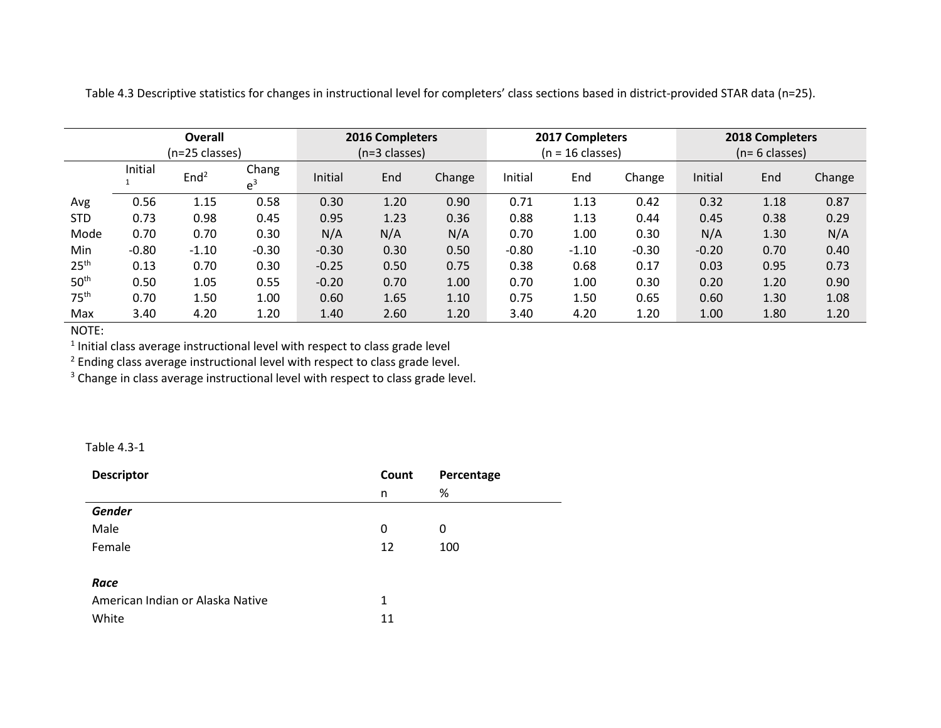|                  | Overall<br>(n=25 classes) |                  |                |         | 2016 Completers<br>$(n=3 \text{ classes})$ |        | 2017 Completers<br>$(n = 16 \text{ classes})$ |         |         | 2018 Completers<br>(n= 6 classes) |      |        |
|------------------|---------------------------|------------------|----------------|---------|--------------------------------------------|--------|-----------------------------------------------|---------|---------|-----------------------------------|------|--------|
|                  | Initial                   | End <sup>2</sup> | Chang<br>$e^3$ | Initial | End                                        | Change | Initial                                       | End     | Change  | Initial                           | End  | Change |
| Avg              | 0.56                      | 1.15             | 0.58           | 0.30    | 1.20                                       | 0.90   | 0.71                                          | 1.13    | 0.42    | 0.32                              | 1.18 | 0.87   |
| <b>STD</b>       | 0.73                      | 0.98             | 0.45           | 0.95    | 1.23                                       | 0.36   | 0.88                                          | 1.13    | 0.44    | 0.45                              | 0.38 | 0.29   |
| Mode             | 0.70                      | 0.70             | 0.30           | N/A     | N/A                                        | N/A    | 0.70                                          | 1.00    | 0.30    | N/A                               | 1.30 | N/A    |
| Min              | $-0.80$                   | $-1.10$          | $-0.30$        | $-0.30$ | 0.30                                       | 0.50   | $-0.80$                                       | $-1.10$ | $-0.30$ | $-0.20$                           | 0.70 | 0.40   |
| 25 <sup>th</sup> | 0.13                      | 0.70             | 0.30           | $-0.25$ | 0.50                                       | 0.75   | 0.38                                          | 0.68    | 0.17    | 0.03                              | 0.95 | 0.73   |
| 50 <sup>th</sup> | 0.50                      | 1.05             | 0.55           | $-0.20$ | 0.70                                       | 1.00   | 0.70                                          | 1.00    | 0.30    | 0.20                              | 1.20 | 0.90   |
| 75 <sup>th</sup> | 0.70                      | 1.50             | 1.00           | 0.60    | 1.65                                       | 1.10   | 0.75                                          | 1.50    | 0.65    | 0.60                              | 1.30 | 1.08   |
| Max              | 3.40                      | 4.20             | 1.20           | 1.40    | 2.60                                       | 1.20   | 3.40                                          | 4.20    | 1.20    | 1.00                              | 1.80 | 1.20   |

Table 4.3 Descriptive statistics for changes in instructional level for completers' class sections based in district-provided STAR data (n=25).

NOTE:

 $<sup>1</sup>$  Initial class average instructional level with respect to class grade level</sup>

<sup>2</sup> Ending class average instructional level with respect to class grade level.

<sup>3</sup> Change in class average instructional level with respect to class grade level.

Table 4.3-1

| <b>Descriptor</b>                | Count<br>Percentage |     |  |
|----------------------------------|---------------------|-----|--|
|                                  | n                   | %   |  |
| <b>Gender</b>                    |                     |     |  |
| Male                             | 0                   | 0   |  |
| Female                           | 12                  | 100 |  |
|                                  |                     |     |  |
| Race                             |                     |     |  |
| American Indian or Alaska Native | 1                   |     |  |
| White                            | 11                  |     |  |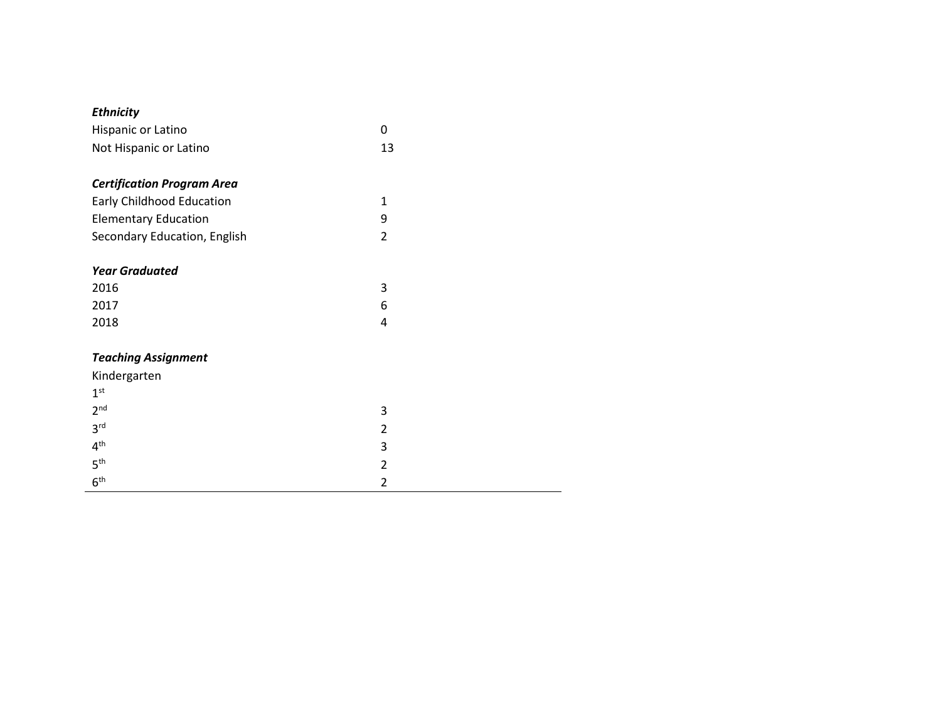### *Ethnicity*

| Hispanic or Latino     |    |
|------------------------|----|
| Not Hispanic or Latino | 13 |

## *Certification Program Area*

| <b>Early Childhood Education</b> |  |
|----------------------------------|--|
| <b>Elementary Education</b>      |  |
| Secondary Education, English     |  |

#### *Year Graduated*

| 2016 | <u>ว</u><br>د |
|------|---------------|
| 2017 | b             |
| 2018 |               |

#### *Teaching Assignment*

| Kindergarten    |               |
|-----------------|---------------|
| 1 <sup>st</sup> |               |
| 2 <sup>nd</sup> | 3             |
| 3 <sup>rd</sup> | $\mathcal{L}$ |
| 4 <sup>th</sup> | 3             |
| 5 <sup>th</sup> | $\mathcal{P}$ |
| 6 <sup>th</sup> | $\mathcal{D}$ |